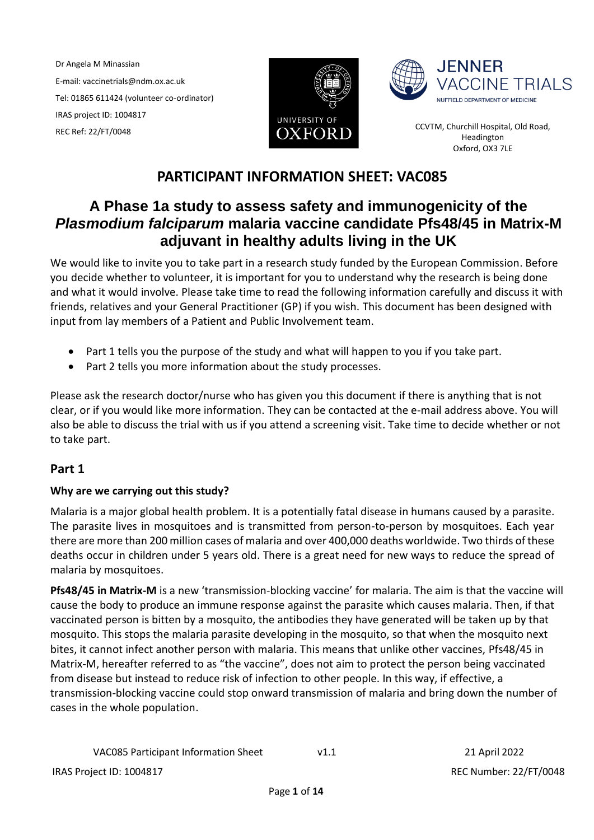Dr Angela M Minassian E-mail: vaccinetrials@ndm.ox.ac.uk Tel: 01865 611424 (volunteer co-ordinator) IRAS project ID: 1004817 TRAS Project ID: 1004817<br>REC Ref: 22/FT/0048 **CCVTM, Churchill Hospital, Old Road,**<br>Headington Headington





Headington Oxford, OX3 7LE

# **PARTICIPANT INFORMATION SHEET: VAC085**

# **A Phase 1a study to assess safety and immunogenicity of the**  *Plasmodium falciparum* **malaria vaccine candidate Pfs48/45 in Matrix-M adjuvant in healthy adults living in the UK**

We would like to invite you to take part in a research study funded by the European Commission. Before you decide whether to volunteer, it is important for you to understand why the research is being done and what it would involve. Please take time to read the following information carefully and discuss it with friends, relatives and your General Practitioner (GP) if you wish. This document has been designed with input from lay members of a Patient and Public Involvement team.

- Part 1 tells you the purpose of the study and what will happen to you if you take part.
- Part 2 tells you more information about the study processes.

Please ask the research doctor/nurse who has given you this document if there is anything that is not clear, or if you would like more information. They can be contacted at the e-mail address above. You will also be able to discuss the trial with us if you attend a screening visit. Take time to decide whether or not to take part.

# **Part 1**

# **Why are we carrying out this study?**

Malaria is a major global health problem. It is a potentially fatal disease in humans caused by a parasite. The parasite lives in mosquitoes and is transmitted from person-to-person by mosquitoes. Each year there are more than 200 million cases of malaria and over 400,000 deaths worldwide. Two thirds of these deaths occur in children under 5 years old. There is a great need for new ways to reduce the spread of malaria by mosquitoes.

**Pfs48/45 in Matrix-M** is a new 'transmission-blocking vaccine' for malaria. The aim is that the vaccine will cause the body to produce an immune response against the parasite which causes malaria. Then, if that vaccinated person is bitten by a mosquito, the antibodies they have generated will be taken up by that mosquito. This stops the malaria parasite developing in the mosquito, so that when the mosquito next bites, it cannot infect another person with malaria. This means that unlike other vaccines, Pfs48/45 in Matrix-M, hereafter referred to as "the vaccine", does not aim to protect the person being vaccinated from disease but instead to reduce risk of infection to other people. In this way, if effective, a transmission-blocking vaccine could stop onward transmission of malaria and bring down the number of cases in the whole population.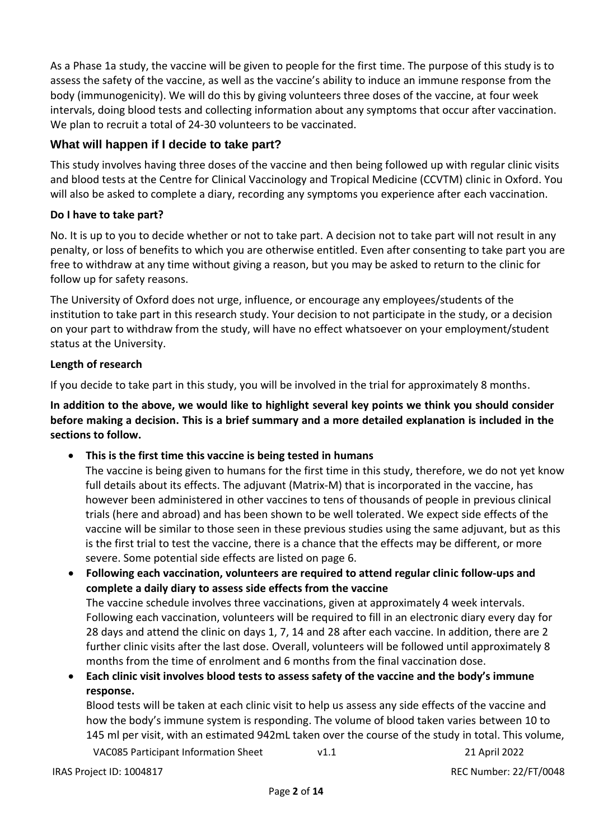As a Phase 1a study, the vaccine will be given to people for the first time. The purpose of this study is to assess the safety of the vaccine, as well as the vaccine's ability to induce an immune response from the body (immunogenicity). We will do this by giving volunteers three doses of the vaccine, at four week intervals, doing blood tests and collecting information about any symptoms that occur after vaccination. We plan to recruit a total of 24-30 volunteers to be vaccinated.

# **What will happen if I decide to take part?**

This study involves having three doses of the vaccine and then being followed up with regular clinic visits and blood tests at the Centre for Clinical Vaccinology and Tropical Medicine (CCVTM) clinic in Oxford. You will also be asked to complete a diary, recording any symptoms you experience after each vaccination.

# **Do I have to take part?**

No. It is up to you to decide whether or not to take part. A decision not to take part will not result in any penalty, or loss of benefits to which you are otherwise entitled. Even after consenting to take part you are free to withdraw at any time without giving a reason, but you may be asked to return to the clinic for follow up for safety reasons.

The University of Oxford does not urge, influence, or encourage any employees/students of the institution to take part in this research study. Your decision to not participate in the study, or a decision on your part to withdraw from the study, will have no effect whatsoever on your employment/student status at the University.

# **Length of research**

If you decide to take part in this study, you will be involved in the trial for approximately 8 months.

**In addition to the above, we would like to highlight several key points we think you should consider before making a decision. This is a brief summary and a more detailed explanation is included in the sections to follow.** 

**This is the first time this vaccine is being tested in humans**

The vaccine is being given to humans for the first time in this study, therefore, we do not yet know full details about its effects. The adjuvant (Matrix-M) that is incorporated in the vaccine, has however been administered in other vaccines to tens of thousands of people in previous clinical trials (here and abroad) and has been shown to be well tolerated. We expect side effects of the vaccine will be similar to those seen in these previous studies using the same adjuvant, but as this is the first trial to test the vaccine, there is a chance that the effects may be different, or more severe. Some potential side effects are listed on page 6.

 **Following each vaccination, volunteers are required to attend regular clinic follow-ups and complete a daily diary to assess side effects from the vaccine** The vaccine schedule involves three vaccinations, given at approximately 4 week intervals. Following each vaccination, volunteers will be required to fill in an electronic diary every day for 28 days and attend the clinic on days 1, 7, 14 and 28 after each vaccine. In addition, there are 2 further clinic visits after the last dose. Overall, volunteers will be followed until approximately 8 months from the time of enrolment and 6 months from the final vaccination dose.

 **Each clinic visit involves blood tests to assess safety of the vaccine and the body's immune response.**

VAC085 Participant Information Sheet v1.1 21 April 2022 Blood tests will be taken at each clinic visit to help us assess any side effects of the vaccine and how the body's immune system is responding. The volume of blood taken varies between 10 to 145 ml per visit, with an estimated 942mL taken over the course of the study in total. This volume,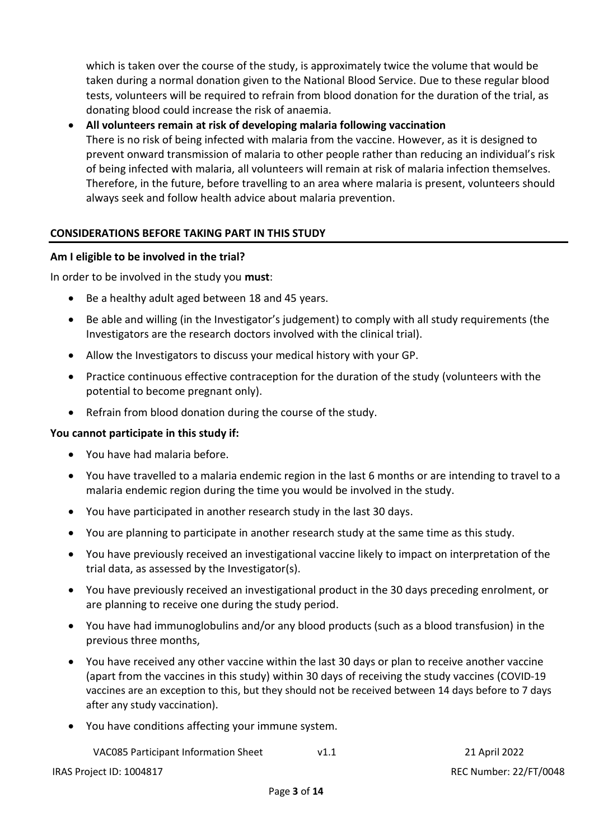which is taken over the course of the study, is approximately twice the volume that would be taken during a normal donation given to the National Blood Service. Due to these regular blood tests, volunteers will be required to refrain from blood donation for the duration of the trial, as donating blood could increase the risk of anaemia.

 **All volunteers remain at risk of developing malaria following vaccination**  There is no risk of being infected with malaria from the vaccine. However, as it is designed to prevent onward transmission of malaria to other people rather than reducing an individual's risk of being infected with malaria, all volunteers will remain at risk of malaria infection themselves. Therefore, in the future, before travelling to an area where malaria is present, volunteers should always seek and follow health advice about malaria prevention.

# **CONSIDERATIONS BEFORE TAKING PART IN THIS STUDY**

#### **Am I eligible to be involved in the trial?**

In order to be involved in the study you **must**:

- Be a healthy adult aged between 18 and 45 years.
- Be able and willing (in the Investigator's judgement) to comply with all study requirements (the Investigators are the research doctors involved with the clinical trial).
- Allow the Investigators to discuss your medical history with your GP.
- Practice continuous effective contraception for the duration of the study (volunteers with the potential to become pregnant only).
- Refrain from blood donation during the course of the study.

#### **You cannot participate in this study if:**

- You have had malaria before.
- You have travelled to a malaria endemic region in the last 6 months or are intending to travel to a malaria endemic region during the time you would be involved in the study.
- You have participated in another research study in the last 30 days.
- You are planning to participate in another research study at the same time as this study.
- You have previously received an investigational vaccine likely to impact on interpretation of the trial data, as assessed by the Investigator(s).
- You have previously received an investigational product in the 30 days preceding enrolment, or are planning to receive one during the study period.
- You have had immunoglobulins and/or any blood products (such as a blood transfusion) in the previous three months,
- You have received any other vaccine within the last 30 days or plan to receive another vaccine (apart from the vaccines in this study) within 30 days of receiving the study vaccines (COVID-19 vaccines are an exception to this, but they should not be received between 14 days before to 7 days after any study vaccination).
- You have conditions affecting your immune system.

VAC085 Participant Information Sheet v1.1 21 April 2022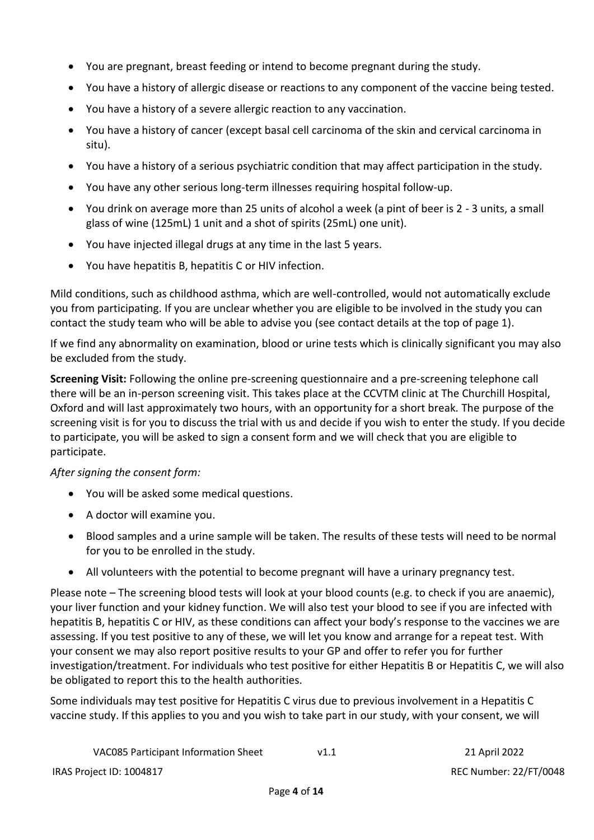- You are pregnant, breast feeding or intend to become pregnant during the study.
- You have a history of allergic disease or reactions to any component of the vaccine being tested.
- You have a history of a severe allergic reaction to any vaccination.
- You have a history of cancer (except basal cell carcinoma of the skin and cervical carcinoma in situ).
- You have a history of a serious psychiatric condition that may affect participation in the study.
- You have any other serious long-term illnesses requiring hospital follow-up.
- You drink on average more than 25 units of alcohol a week (a pint of beer is 2 3 units, a small glass of wine (125mL) 1 unit and a shot of spirits (25mL) one unit).
- You have injected illegal drugs at any time in the last 5 years.
- You have hepatitis B, hepatitis C or HIV infection.

Mild conditions, such as childhood asthma, which are well-controlled, would not automatically exclude you from participating. If you are unclear whether you are eligible to be involved in the study you can contact the study team who will be able to advise you (see contact details at the top of page 1).

If we find any abnormality on examination, blood or urine tests which is clinically significant you may also be excluded from the study.

**Screening Visit:** Following the online pre-screening questionnaire and a pre-screening telephone call there will be an in-person screening visit. This takes place at the CCVTM clinic at The Churchill Hospital, Oxford and will last approximately two hours, with an opportunity for a short break*.* The purpose of the screening visit is for you to discuss the trial with us and decide if you wish to enter the study. If you decide to participate, you will be asked to sign a consent form and we will check that you are eligible to participate.

# *After signing the consent form:*

- You will be asked some medical questions.
- A doctor will examine you.
- Blood samples and a urine sample will be taken. The results of these tests will need to be normal for you to be enrolled in the study.
- All volunteers with the potential to become pregnant will have a urinary pregnancy test.

Please note – The screening blood tests will look at your blood counts (e.g. to check if you are anaemic), your liver function and your kidney function. We will also test your blood to see if you are infected with hepatitis B, hepatitis C or HIV, as these conditions can affect your body's response to the vaccines we are assessing. If you test positive to any of these, we will let you know and arrange for a repeat test. With your consent we may also report positive results to your GP and offer to refer you for further investigation/treatment. For individuals who test positive for either Hepatitis B or Hepatitis C, we will also be obligated to report this to the health authorities.

Some individuals may test positive for Hepatitis C virus due to previous involvement in a Hepatitis C vaccine study. If this applies to you and you wish to take part in our study, with your consent, we will

| <b>VAC085 Participant Information Sheet</b> | V1.1 |
|---------------------------------------------|------|
|                                             |      |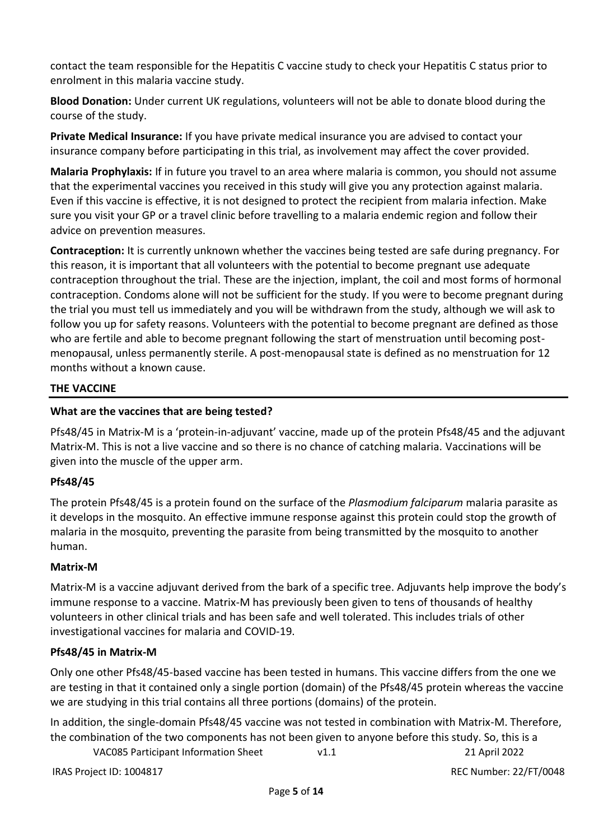contact the team responsible for the Hepatitis C vaccine study to check your Hepatitis C status prior to enrolment in this malaria vaccine study.

**Blood Donation:** Under current UK regulations, volunteers will not be able to donate blood during the course of the study.

**Private Medical Insurance:** If you have private medical insurance you are advised to contact your insurance company before participating in this trial, as involvement may affect the cover provided.

**Malaria Prophylaxis:** If in future you travel to an area where malaria is common, you should not assume that the experimental vaccines you received in this study will give you any protection against malaria. Even if this vaccine is effective, it is not designed to protect the recipient from malaria infection. Make sure you visit your GP or a travel clinic before travelling to a malaria endemic region and follow their advice on prevention measures.

**Contraception:** It is currently unknown whether the vaccines being tested are safe during pregnancy. For this reason, it is important that all volunteers with the potential to become pregnant use adequate contraception throughout the trial. These are the injection, implant, the coil and most forms of hormonal contraception. Condoms alone will not be sufficient for the study. If you were to become pregnant during the trial you must tell us immediately and you will be withdrawn from the study, although we will ask to follow you up for safety reasons. Volunteers with the potential to become pregnant are defined as those who are fertile and able to become pregnant following the start of menstruation until becoming postmenopausal, unless permanently sterile. A post-menopausal state is defined as no menstruation for 12 months without a known cause.

# **THE VACCINE**

# **What are the vaccines that are being tested?**

Pfs48/45 in Matrix-M is a 'protein-in-adjuvant' vaccine, made up of the protein Pfs48/45 and the adjuvant Matrix-M. This is not a live vaccine and so there is no chance of catching malaria. Vaccinations will be given into the muscle of the upper arm.

# **Pfs48/45**

The protein Pfs48/45 is a protein found on the surface of the *Plasmodium falciparum* malaria parasite as it develops in the mosquito. An effective immune response against this protein could stop the growth of malaria in the mosquito, preventing the parasite from being transmitted by the mosquito to another human.

# **Matrix-M**

Matrix-M is a vaccine adjuvant derived from the bark of a specific tree. Adjuvants help improve the body's immune response to a vaccine. Matrix-M has previously been given to tens of thousands of healthy volunteers in other clinical trials and has been safe and well tolerated. This includes trials of other investigational vaccines for malaria and COVID-19.

# **Pfs48/45 in Matrix-M**

Only one other Pfs48/45-based vaccine has been tested in humans. This vaccine differs from the one we are testing in that it contained only a single portion (domain) of the Pfs48/45 protein whereas the vaccine we are studying in this trial contains all three portions (domains) of the protein.

In addition, the single-domain Pfs48/45 vaccine was not tested in combination with Matrix-M. Therefore, the combination of the two components has not been given to anyone before this study. So, this is a

VAC085 Participant Information Sheet v1.1 21 April 2022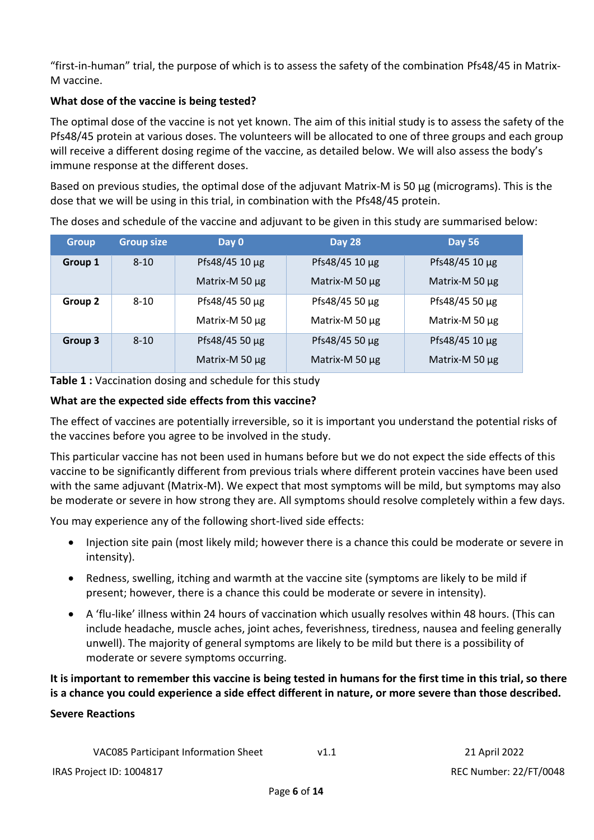"first-in-human" trial, the purpose of which is to assess the safety of the combination Pfs48/45 in Matrix-M vaccine.

# **What dose of the vaccine is being tested?**

The optimal dose of the vaccine is not yet known. The aim of this initial study is to assess the safety of the Pfs48/45 protein at various doses. The volunteers will be allocated to one of three groups and each group will receive a different dosing regime of the vaccine, as detailed below. We will also assess the body's immune response at the different doses.

Based on previous studies, the optimal dose of the adjuvant Matrix-M is 50 µg (micrograms). This is the dose that we will be using in this trial, in combination with the Pfs48/45 protein.

| <b>Group</b> | <b>Group size</b> | Day 0               | <b>Day 28</b>       | <b>Day 56</b>       |
|--------------|-------------------|---------------------|---------------------|---------------------|
| Group 1      | $8 - 10$          | Pfs48/45 10 µg      | Pfs48/45 10 µg      | Pfs48/45 10 µg      |
|              |                   | Matrix-M 50 µg      | Matrix-M 50 µg      | Matrix-M 50 µg      |
| Group 2      | $8 - 10$          | Pfs48/45 50 $\mu$ g | Pfs48/45 50 $\mu$ g | Pfs48/45 50 $\mu$ g |
|              |                   | Matrix-M 50 µg      | Matrix-M 50 µg      | Matrix-M 50 µg      |
| Group 3      | $8 - 10$          | Pfs48/45 50 µg      | Pfs48/45 50 µg      | Pfs48/45 10 µg      |
|              |                   | Matrix-M 50 µg      | Matrix-M 50 µg      | Matrix-M 50 µg      |

The doses and schedule of the vaccine and adjuvant to be given in this study are summarised below:

**Table 1 :** Vaccination dosing and schedule for this study

# **What are the expected side effects from this vaccine?**

The effect of vaccines are potentially irreversible, so it is important you understand the potential risks of the vaccines before you agree to be involved in the study.

This particular vaccine has not been used in humans before but we do not expect the side effects of this vaccine to be significantly different from previous trials where different protein vaccines have been used with the same adjuvant (Matrix-M). We expect that most symptoms will be mild, but symptoms may also be moderate or severe in how strong they are. All symptoms should resolve completely within a few days.

You may experience any of the following short-lived side effects:

- Injection site pain (most likely mild; however there is a chance this could be moderate or severe in intensity).
- Redness, swelling, itching and warmth at the vaccine site (symptoms are likely to be mild if present; however, there is a chance this could be moderate or severe in intensity).
- A 'flu-like' illness within 24 hours of vaccination which usually resolves within 48 hours. (This can include headache, muscle aches, joint aches, feverishness, tiredness, nausea and feeling generally unwell). The majority of general symptoms are likely to be mild but there is a possibility of moderate or severe symptoms occurring.

**It is important to remember this vaccine is being tested in humans for the first time in this trial, so there is a chance you could experience a side effect different in nature, or more severe than those described.**

# **Severe Reactions**

| VAC085 Participant Information Sheet | v1. |
|--------------------------------------|-----|
|--------------------------------------|-----|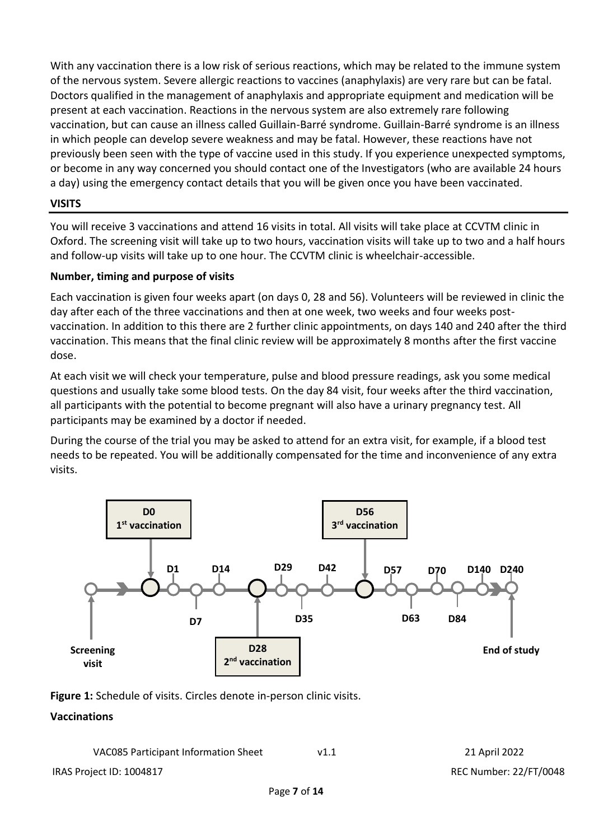With any vaccination there is a low risk of serious reactions, which may be related to the immune system of the nervous system. Severe allergic reactions to vaccines (anaphylaxis) are very rare but can be fatal. Doctors qualified in the management of anaphylaxis and appropriate equipment and medication will be present at each vaccination. Reactions in the nervous system are also extremely rare following vaccination, but can cause an illness called Guillain-Barré syndrome. Guillain-Barré syndrome is an illness in which people can develop severe weakness and may be fatal. However, these reactions have not previously been seen with the type of vaccine used in this study. If you experience unexpected symptoms, or become in any way concerned you should contact one of the Investigators (who are available 24 hours a day) using the emergency contact details that you will be given once you have been vaccinated.

# **VISITS**

You will receive 3 vaccinations and attend 16 visits in total. All visits will take place at CCVTM clinic in Oxford. The screening visit will take up to two hours, vaccination visits will take up to two and a half hours and follow-up visits will take up to one hour. The CCVTM clinic is wheelchair-accessible.

# **Number, timing and purpose of visits**

Each vaccination is given four weeks apart (on days 0, 28 and 56). Volunteers will be reviewed in clinic the day after each of the three vaccinations and then at one week, two weeks and four weeks postvaccination. In addition to this there are 2 further clinic appointments, on days 140 and 240 after the third vaccination. This means that the final clinic review will be approximately 8 months after the first vaccine dose.

At each visit we will check your temperature, pulse and blood pressure readings, ask you some medical questions and usually take some blood tests. On the day 84 visit, four weeks after the third vaccination, all participants with the potential to become pregnant will also have a urinary pregnancy test. All participants may be examined by a doctor if needed.

During the course of the trial you may be asked to attend for an extra visit, for example, if a blood test needs to be repeated. You will be additionally compensated for the time and inconvenience of any extra visits.



**Figure 1:** Schedule of visits. Circles denote in-person clinic visits.

# **Vaccinations**

| VAC085 Participant Information Sheet |  | 21 April 2022 |
|--------------------------------------|--|---------------|
|--------------------------------------|--|---------------|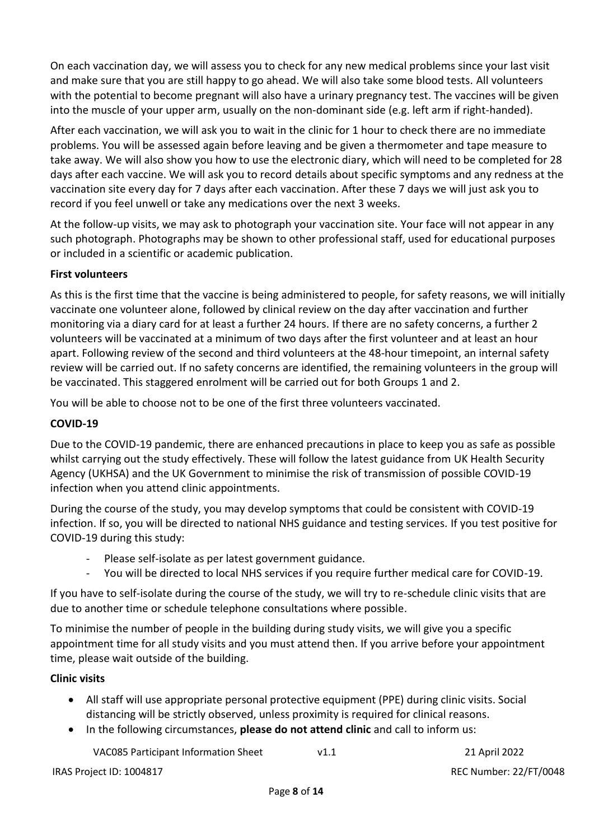On each vaccination day, we will assess you to check for any new medical problems since your last visit and make sure that you are still happy to go ahead. We will also take some blood tests. All volunteers with the potential to become pregnant will also have a urinary pregnancy test. The vaccines will be given into the muscle of your upper arm, usually on the non-dominant side (e.g. left arm if right-handed).

After each vaccination, we will ask you to wait in the clinic for 1 hour to check there are no immediate problems. You will be assessed again before leaving and be given a thermometer and tape measure to take away. We will also show you how to use the electronic diary, which will need to be completed for 28 days after each vaccine. We will ask you to record details about specific symptoms and any redness at the vaccination site every day for 7 days after each vaccination. After these 7 days we will just ask you to record if you feel unwell or take any medications over the next 3 weeks.

At the follow-up visits, we may ask to photograph your vaccination site. Your face will not appear in any such photograph. Photographs may be shown to other professional staff, used for educational purposes or included in a scientific or academic publication.

# **First volunteers**

As this is the first time that the vaccine is being administered to people, for safety reasons, we will initially vaccinate one volunteer alone, followed by clinical review on the day after vaccination and further monitoring via a diary card for at least a further 24 hours. If there are no safety concerns, a further 2 volunteers will be vaccinated at a minimum of two days after the first volunteer and at least an hour apart. Following review of the second and third volunteers at the 48-hour timepoint, an internal safety review will be carried out. If no safety concerns are identified, the remaining volunteers in the group will be vaccinated. This staggered enrolment will be carried out for both Groups 1 and 2.

You will be able to choose not to be one of the first three volunteers vaccinated.

# **COVID-19**

Due to the COVID-19 pandemic, there are enhanced precautions in place to keep you as safe as possible whilst carrying out the study effectively. These will follow the latest guidance from UK Health Security Agency (UKHSA) and the UK Government to minimise the risk of transmission of possible COVID-19 infection when you attend clinic appointments.

During the course of the study, you may develop symptoms that could be consistent with COVID-19 infection. If so, you will be directed to national NHS guidance and testing services. If you test positive for COVID-19 during this study:

- Please self-isolate as per latest government guidance.
- You will be directed to local NHS services if you require further medical care for COVID-19.

If you have to self-isolate during the course of the study, we will try to re-schedule clinic visits that are due to another time or schedule telephone consultations where possible.

To minimise the number of people in the building during study visits, we will give you a specific appointment time for all study visits and you must attend then. If you arrive before your appointment time, please wait outside of the building.

#### **Clinic visits**

- All staff will use appropriate personal protective equipment (PPE) during clinic visits. Social distancing will be strictly observed, unless proximity is required for clinical reasons.
- In the following circumstances, **please do not attend clinic** and call to inform us:

VAC085 Participant Information Sheet v1.1 21 April 2022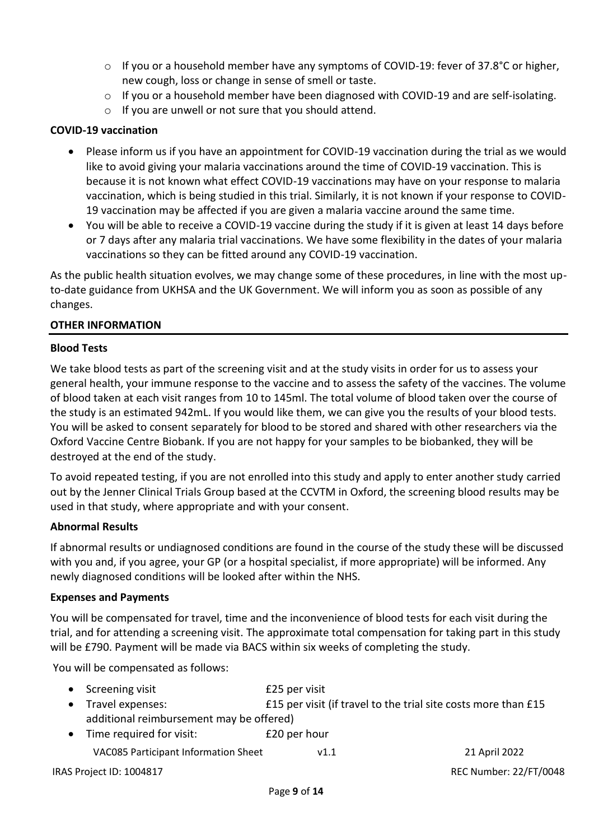- o If you or a household member have any symptoms of COVID-19: fever of 37.8°C or higher, new cough, loss or change in sense of smell or taste.
- $\circ$  If you or a household member have been diagnosed with COVID-19 and are self-isolating.
- o If you are unwell or not sure that you should attend.

#### **COVID-19 vaccination**

- Please inform us if you have an appointment for COVID-19 vaccination during the trial as we would like to avoid giving your malaria vaccinations around the time of COVID-19 vaccination. This is because it is not known what effect COVID-19 vaccinations may have on your response to malaria vaccination, which is being studied in this trial. Similarly, it is not known if your response to COVID-19 vaccination may be affected if you are given a malaria vaccine around the same time.
- You will be able to receive a COVID-19 vaccine during the study if it is given at least 14 days before or 7 days after any malaria trial vaccinations. We have some flexibility in the dates of your malaria vaccinations so they can be fitted around any COVID-19 vaccination.

As the public health situation evolves, we may change some of these procedures, in line with the most upto-date guidance from UKHSA and the UK Government. We will inform you as soon as possible of any changes.

#### **OTHER INFORMATION**

#### **Blood Tests**

We take blood tests as part of the screening visit and at the study visits in order for us to assess your general health, your immune response to the vaccine and to assess the safety of the vaccines. The volume of blood taken at each visit ranges from 10 to 145ml. The total volume of blood taken over the course of the study is an estimated 942mL. If you would like them, we can give you the results of your blood tests. You will be asked to consent separately for blood to be stored and shared with other researchers via the Oxford Vaccine Centre Biobank. If you are not happy for your samples to be biobanked, they will be destroyed at the end of the study.

To avoid repeated testing, if you are not enrolled into this study and apply to enter another study carried out by the Jenner Clinical Trials Group based at the CCVTM in Oxford, the screening blood results may be used in that study, where appropriate and with your consent.

#### **Abnormal Results**

If abnormal results or undiagnosed conditions are found in the course of the study these will be discussed with you and, if you agree, your GP (or a hospital specialist, if more appropriate) will be informed. Any newly diagnosed conditions will be looked after within the NHS.

#### **Expenses and Payments**

You will be compensated for travel, time and the inconvenience of blood tests for each visit during the trial, and for attending a screening visit. The approximate total compensation for taking part in this study will be £790. Payment will be made via BACS within six weeks of completing the study.

You will be compensated as follows:

| • Screening visit                        | £25 per visit                                                  |  |
|------------------------------------------|----------------------------------------------------------------|--|
| • Travel expenses:                       | £15 per visit (if travel to the trial site costs more than £15 |  |
| additional reimbursement may be offered) |                                                                |  |
| • Time required for visit:               | £20 per hour                                                   |  |

VAC085 Participant Information Sheet v1.1 21 April 2022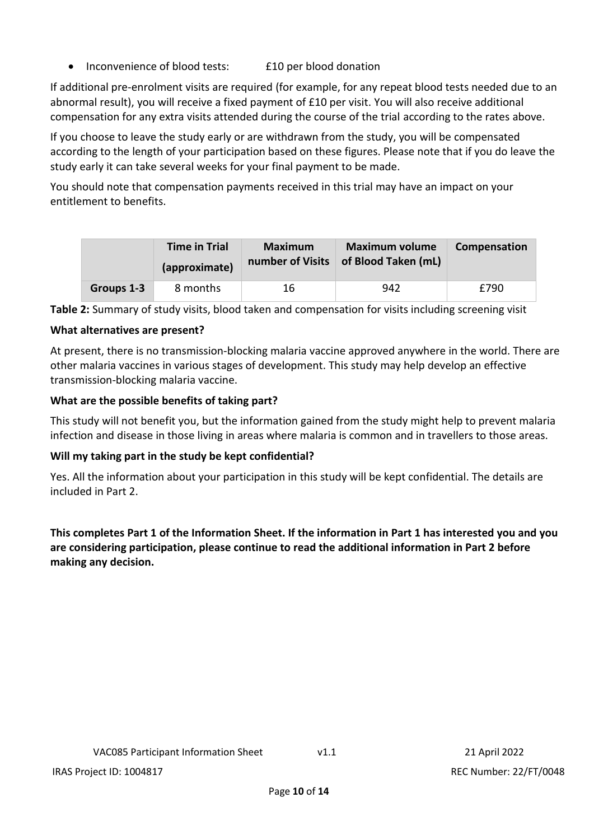Inconvenience of blood tests: £10 per blood donation

If additional pre-enrolment visits are required (for example, for any repeat blood tests needed due to an abnormal result), you will receive a fixed payment of £10 per visit. You will also receive additional compensation for any extra visits attended during the course of the trial according to the rates above.

If you choose to leave the study early or are withdrawn from the study, you will be compensated according to the length of your participation based on these figures. Please note that if you do leave the study early it can take several weeks for your final payment to be made.

You should note that compensation payments received in this trial may have an impact on your entitlement to benefits.

|            | <b>Time in Trial</b><br>(approximate) | Maximum<br>number of Visits | <b>Maximum volume</b><br>of Blood Taken (mL) | Compensation |
|------------|---------------------------------------|-----------------------------|----------------------------------------------|--------------|
| Groups 1-3 | 8 months                              | 16                          | 942                                          | £790         |

**Table 2:** Summary of study visits, blood taken and compensation for visits including screening visit

# **What alternatives are present?**

At present, there is no transmission-blocking malaria vaccine approved anywhere in the world. There are other malaria vaccines in various stages of development. This study may help develop an effective transmission-blocking malaria vaccine.

# **What are the possible benefits of taking part?**

This study will not benefit you, but the information gained from the study might help to prevent malaria infection and disease in those living in areas where malaria is common and in travellers to those areas.

# **Will my taking part in the study be kept confidential?**

Yes. All the information about your participation in this study will be kept confidential. The details are included in Part 2.

**This completes Part 1 of the Information Sheet. If the information in Part 1 has interested you and you are considering participation, please continue to read the additional information in Part 2 before making any decision.**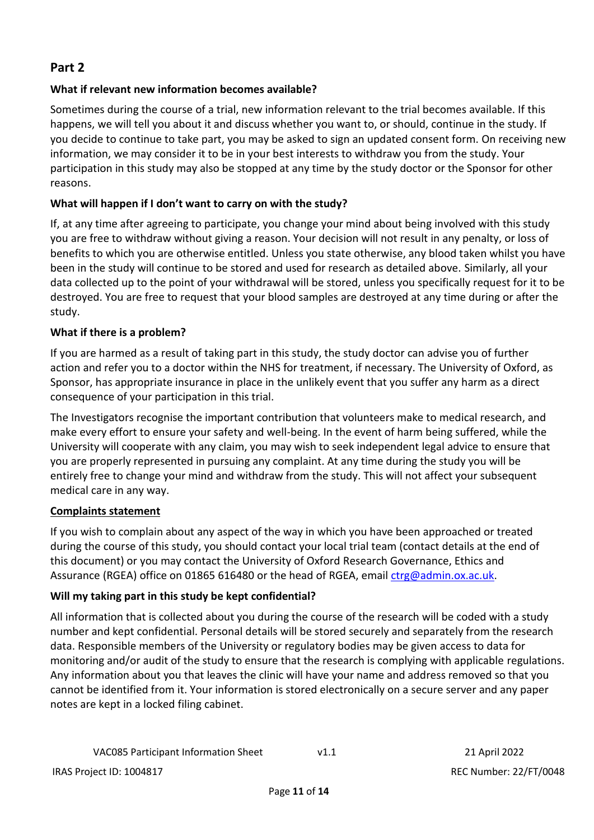# **Part 2**

# **What if relevant new information becomes available?**

Sometimes during the course of a trial, new information relevant to the trial becomes available. If this happens, we will tell you about it and discuss whether you want to, or should, continue in the study. If you decide to continue to take part, you may be asked to sign an updated consent form. On receiving new information, we may consider it to be in your best interests to withdraw you from the study. Your participation in this study may also be stopped at any time by the study doctor or the Sponsor for other reasons.

# **What will happen if I don't want to carry on with the study?**

If, at any time after agreeing to participate, you change your mind about being involved with this study you are free to withdraw without giving a reason. Your decision will not result in any penalty, or loss of benefits to which you are otherwise entitled. Unless you state otherwise, any blood taken whilst you have been in the study will continue to be stored and used for research as detailed above. Similarly, all your data collected up to the point of your withdrawal will be stored, unless you specifically request for it to be destroyed. You are free to request that your blood samples are destroyed at any time during or after the study.

# **What if there is a problem?**

If you are harmed as a result of taking part in this study, the study doctor can advise you of further action and refer you to a doctor within the NHS for treatment, if necessary. The University of Oxford, as Sponsor, has appropriate insurance in place in the unlikely event that you suffer any harm as a direct consequence of your participation in this trial.

The Investigators recognise the important contribution that volunteers make to medical research, and make every effort to ensure your safety and well-being. In the event of harm being suffered, while the University will cooperate with any claim, you may wish to seek independent legal advice to ensure that you are properly represented in pursuing any complaint. At any time during the study you will be entirely free to change your mind and withdraw from the study. This will not affect your subsequent medical care in any way.

# **Complaints statement**

If you wish to complain about any aspect of the way in which you have been approached or treated during the course of this study, you should contact your local trial team (contact details at the end of this document) or you may contact the University of Oxford Research Governance, Ethics and Assurance (RGEA) office on 01865 616480 or the head of RGEA, email [ctrg@admin.ox.ac.uk.](mailto:ctrg@admin.ox.ac.uk)

# **Will my taking part in this study be kept confidential?**

All information that is collected about you during the course of the research will be coded with a study number and kept confidential. Personal details will be stored securely and separately from the research data. Responsible members of the University or regulatory bodies may be given access to data for monitoring and/or audit of the study to ensure that the research is complying with applicable regulations. Any information about you that leaves the clinic will have your name and address removed so that you cannot be identified from it. Your information is stored electronically on a secure server and any paper notes are kept in a locked filing cabinet.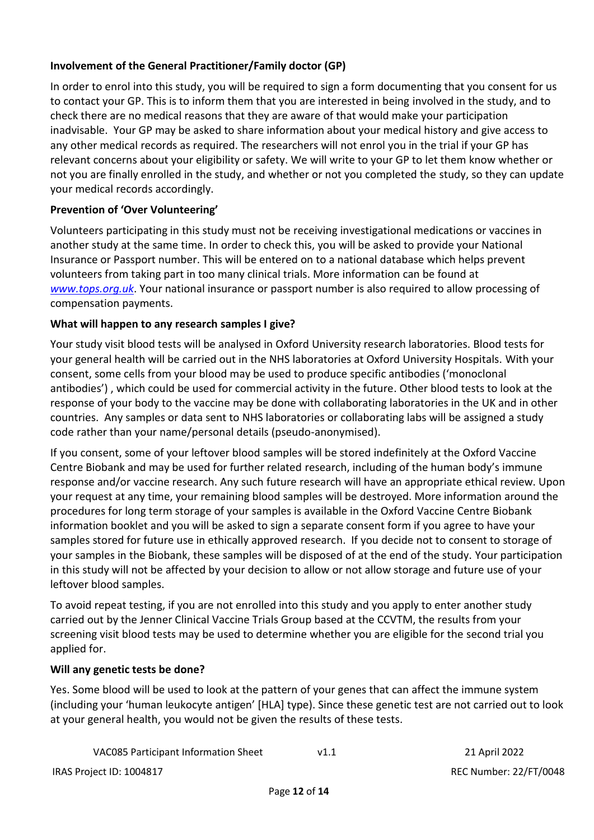# **Involvement of the General Practitioner/Family doctor (GP)**

In order to enrol into this study, you will be required to sign a form documenting that you consent for us to contact your GP. This is to inform them that you are interested in being involved in the study, and to check there are no medical reasons that they are aware of that would make your participation inadvisable. Your GP may be asked to share information about your medical history and give access to any other medical records as required. The researchers will not enrol you in the trial if your GP has relevant concerns about your eligibility or safety. We will write to your GP to let them know whether or not you are finally enrolled in the study, and whether or not you completed the study, so they can update your medical records accordingly.

# **Prevention of 'Over Volunteering'**

Volunteers participating in this study must not be receiving investigational medications or vaccines in another study at the same time. In order to check this, you will be asked to provide your National Insurance or Passport number. This will be entered on to a national database which helps prevent volunteers from taking part in too many clinical trials. More information can be found at *[www.tops.org.uk](http://www.tops.org.uk/)*. Your national insurance or passport number is also required to allow processing of compensation payments.

# **What will happen to any research samples I give?**

Your study visit blood tests will be analysed in Oxford University research laboratories. Blood tests for your general health will be carried out in the NHS laboratories at Oxford University Hospitals. With your consent, some cells from your blood may be used to produce specific antibodies ('monoclonal antibodies') , which could be used for commercial activity in the future. Other blood tests to look at the response of your body to the vaccine may be done with collaborating laboratories in the UK and in other countries. Any samples or data sent to NHS laboratories or collaborating labs will be assigned a study code rather than your name/personal details (pseudo-anonymised).

If you consent, some of your leftover blood samples will be stored indefinitely at the Oxford Vaccine Centre Biobank and may be used for further related research, including of the human body's immune response and/or vaccine research. Any such future research will have an appropriate ethical review. Upon your request at any time, your remaining blood samples will be destroyed. More information around the procedures for long term storage of your samples is available in the Oxford Vaccine Centre Biobank information booklet and you will be asked to sign a separate consent form if you agree to have your samples stored for future use in ethically approved research. If you decide not to consent to storage of your samples in the Biobank, these samples will be disposed of at the end of the study. Your participation in this study will not be affected by your decision to allow or not allow storage and future use of your leftover blood samples.

To avoid repeat testing, if you are not enrolled into this study and you apply to enter another study carried out by the Jenner Clinical Vaccine Trials Group based at the CCVTM, the results from your screening visit blood tests may be used to determine whether you are eligible for the second trial you applied for.

# **Will any genetic tests be done?**

Yes. Some blood will be used to look at the pattern of your genes that can affect the immune system (including your 'human leukocyte antigen' [HLA] type). Since these genetic test are not carried out to look at your general health, you would not be given the results of these tests.

| VAC085 Participant Information Sheet | V1.1 |  |
|--------------------------------------|------|--|
|                                      |      |  |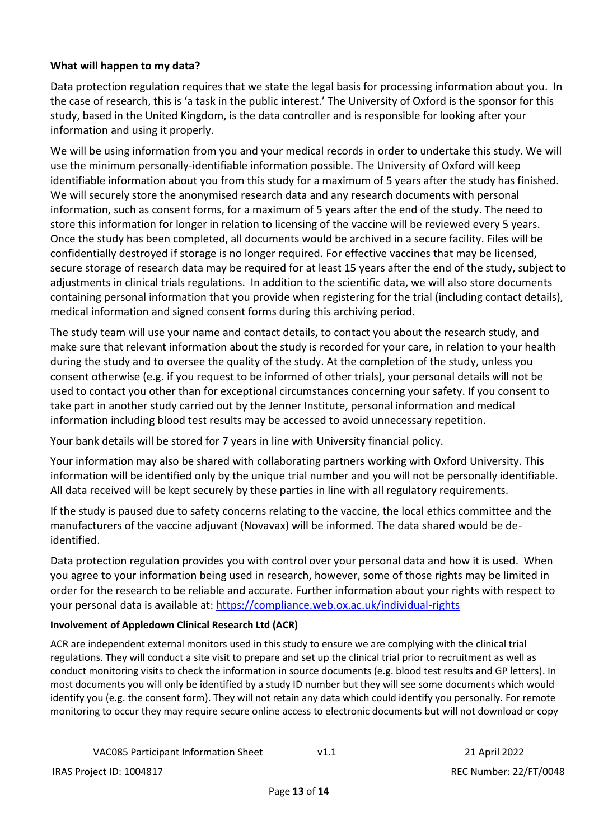### **What will happen to my data?**

Data protection regulation requires that we state the legal basis for processing information about you. In the case of research, this is 'a task in the public interest.' The University of Oxford is the sponsor for this study, based in the United Kingdom, is the data controller and is responsible for looking after your information and using it properly.

We will be using information from you and your medical records in order to undertake this study. We will use the minimum personally-identifiable information possible. The University of Oxford will keep identifiable information about you from this study for a maximum of 5 years after the study has finished. We will securely store the anonymised research data and any research documents with personal information, such as consent forms, for a maximum of 5 years after the end of the study. The need to store this information for longer in relation to licensing of the vaccine will be reviewed every 5 years. Once the study has been completed, all documents would be archived in a secure facility. Files will be confidentially destroyed if storage is no longer required. For effective vaccines that may be licensed, secure storage of research data may be required for at least 15 years after the end of the study, subject to adjustments in clinical trials regulations. In addition to the scientific data, we will also store documents containing personal information that you provide when registering for the trial (including contact details), medical information and signed consent forms during this archiving period.

The study team will use your name and contact details, to contact you about the research study, and make sure that relevant information about the study is recorded for your care, in relation to your health during the study and to oversee the quality of the study. At the completion of the study, unless you consent otherwise (e.g. if you request to be informed of other trials), your personal details will not be used to contact you other than for exceptional circumstances concerning your safety. If you consent to take part in another study carried out by the Jenner Institute, personal information and medical information including blood test results may be accessed to avoid unnecessary repetition.

Your bank details will be stored for 7 years in line with University financial policy.

Your information may also be shared with collaborating partners working with Oxford University. This information will be identified only by the unique trial number and you will not be personally identifiable. All data received will be kept securely by these parties in line with all regulatory requirements.

If the study is paused due to safety concerns relating to the vaccine, the local ethics committee and the manufacturers of the vaccine adjuvant (Novavax) will be informed. The data shared would be deidentified.

Data protection regulation provides you with control over your personal data and how it is used. When you agree to your information being used in research, however, some of those rights may be limited in order for the research to be reliable and accurate. Further information about your rights with respect to your personal data is available at: <https://compliance.web.ox.ac.uk/individual-rights>

#### **Involvement of Appledown Clinical Research Ltd (ACR)**

ACR are independent external monitors used in this study to ensure we are complying with the clinical trial regulations. They will conduct a site visit to prepare and set up the clinical trial prior to recruitment as well as conduct monitoring visits to check the information in source documents (e.g. blood test results and GP letters). In most documents you will only be identified by a study ID number but they will see some documents which would identify you (e.g. the consent form). They will not retain any data which could identify you personally. For remote monitoring to occur they may require secure online access to electronic documents but will not download or copy

```
VAC085 Participant Information Sheet v1.1 21 April 2022
```